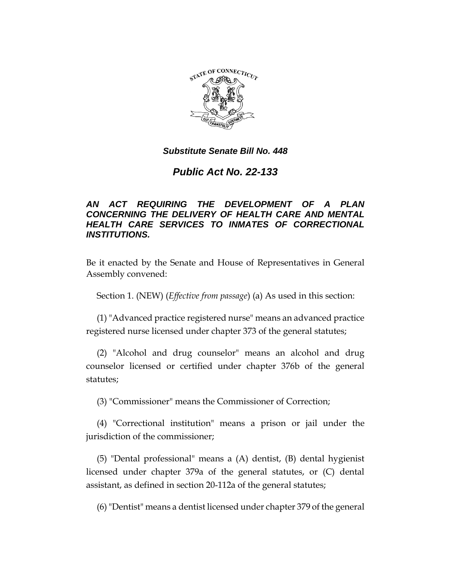

# *Public Act No. 22-133*

## *AN ACT REQUIRING THE DEVELOPMENT OF A PLAN CONCERNING THE DELIVERY OF HEALTH CARE AND MENTAL HEALTH CARE SERVICES TO INMATES OF CORRECTIONAL INSTITUTIONS.*

Be it enacted by the Senate and House of Representatives in General Assembly convened:

Section 1. (NEW) (*Effective from passage*) (a) As used in this section:

(1) "Advanced practice registered nurse" means an advanced practice registered nurse licensed under chapter 373 of the general statutes;

(2) "Alcohol and drug counselor" means an alcohol and drug counselor licensed or certified under chapter 376b of the general statutes;

(3) "Commissioner" means the Commissioner of Correction;

(4) "Correctional institution" means a prison or jail under the jurisdiction of the commissioner;

(5) "Dental professional" means a (A) dentist, (B) dental hygienist licensed under chapter 379a of the general statutes, or (C) dental assistant, as defined in section 20-112a of the general statutes;

(6) "Dentist" means a dentist licensed under chapter 379 of the general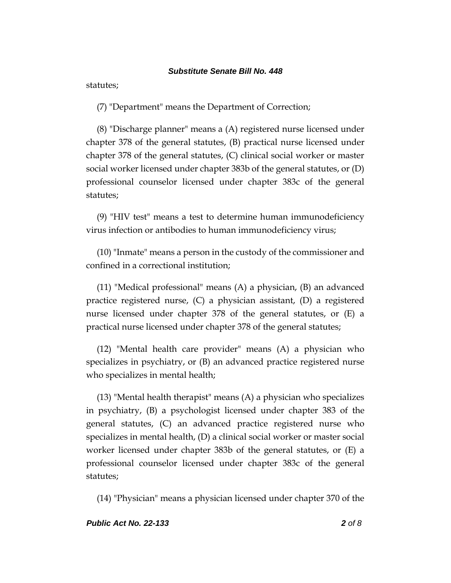statutes;

(7) "Department" means the Department of Correction;

(8) "Discharge planner" means a (A) registered nurse licensed under chapter 378 of the general statutes, (B) practical nurse licensed under chapter 378 of the general statutes, (C) clinical social worker or master social worker licensed under chapter 383b of the general statutes, or (D) professional counselor licensed under chapter 383c of the general statutes;

(9) "HIV test" means a test to determine human immunodeficiency virus infection or antibodies to human immunodeficiency virus;

(10) "Inmate" means a person in the custody of the commissioner and confined in a correctional institution;

(11) "Medical professional" means (A) a physician, (B) an advanced practice registered nurse, (C) a physician assistant, (D) a registered nurse licensed under chapter 378 of the general statutes, or (E) a practical nurse licensed under chapter 378 of the general statutes;

(12) "Mental health care provider" means (A) a physician who specializes in psychiatry, or (B) an advanced practice registered nurse who specializes in mental health;

(13) "Mental health therapist" means (A) a physician who specializes in psychiatry, (B) a psychologist licensed under chapter 383 of the general statutes, (C) an advanced practice registered nurse who specializes in mental health, (D) a clinical social worker or master social worker licensed under chapter 383b of the general statutes, or (E) a professional counselor licensed under chapter 383c of the general statutes;

(14) "Physician" means a physician licensed under chapter 370 of the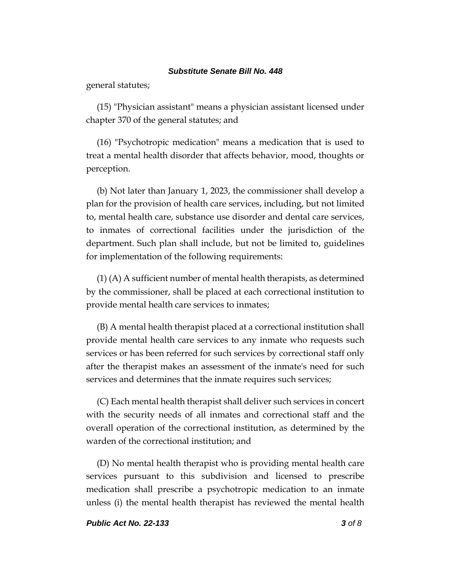general statutes;

(15) "Physician assistant" means a physician assistant licensed under chapter 370 of the general statutes; and

(16) "Psychotropic medication" means a medication that is used to treat a mental health disorder that affects behavior, mood, thoughts or perception.

(b) Not later than January 1, 2023, the commissioner shall develop a plan for the provision of health care services, including, but not limited to, mental health care, substance use disorder and dental care services, to inmates of correctional facilities under the jurisdiction of the department. Such plan shall include, but not be limited to, guidelines for implementation of the following requirements:

(1) (A) A sufficient number of mental health therapists, as determined by the commissioner, shall be placed at each correctional institution to provide mental health care services to inmates;

(B) A mental health therapist placed at a correctional institution shall provide mental health care services to any inmate who requests such services or has been referred for such services by correctional staff only after the therapist makes an assessment of the inmate's need for such services and determines that the inmate requires such services;

(C) Each mental health therapist shall deliver such services in concert with the security needs of all inmates and correctional staff and the overall operation of the correctional institution, as determined by the warden of the correctional institution; and

(D) No mental health therapist who is providing mental health care services pursuant to this subdivision and licensed to prescribe medication shall prescribe a psychotropic medication to an inmate unless (i) the mental health therapist has reviewed the mental health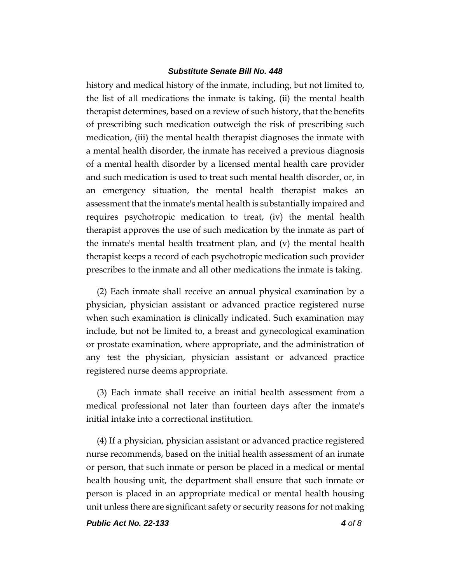history and medical history of the inmate, including, but not limited to, the list of all medications the inmate is taking, (ii) the mental health therapist determines, based on a review of such history, that the benefits of prescribing such medication outweigh the risk of prescribing such medication, (iii) the mental health therapist diagnoses the inmate with a mental health disorder, the inmate has received a previous diagnosis of a mental health disorder by a licensed mental health care provider and such medication is used to treat such mental health disorder, or, in an emergency situation, the mental health therapist makes an assessment that the inmate's mental health is substantially impaired and requires psychotropic medication to treat, (iv) the mental health therapist approves the use of such medication by the inmate as part of the inmate's mental health treatment plan, and (v) the mental health therapist keeps a record of each psychotropic medication such provider prescribes to the inmate and all other medications the inmate is taking.

(2) Each inmate shall receive an annual physical examination by a physician, physician assistant or advanced practice registered nurse when such examination is clinically indicated. Such examination may include, but not be limited to, a breast and gynecological examination or prostate examination, where appropriate, and the administration of any test the physician, physician assistant or advanced practice registered nurse deems appropriate.

(3) Each inmate shall receive an initial health assessment from a medical professional not later than fourteen days after the inmate's initial intake into a correctional institution.

(4) If a physician, physician assistant or advanced practice registered nurse recommends, based on the initial health assessment of an inmate or person, that such inmate or person be placed in a medical or mental health housing unit, the department shall ensure that such inmate or person is placed in an appropriate medical or mental health housing unit unless there are significant safety or security reasons for not making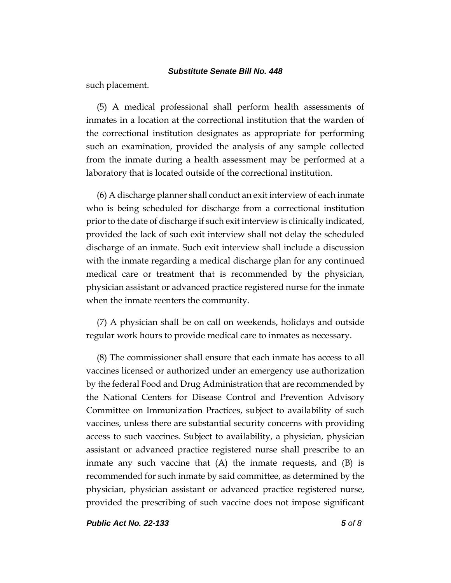such placement.

(5) A medical professional shall perform health assessments of inmates in a location at the correctional institution that the warden of the correctional institution designates as appropriate for performing such an examination, provided the analysis of any sample collected from the inmate during a health assessment may be performed at a laboratory that is located outside of the correctional institution.

(6) A discharge planner shall conduct an exit interview of each inmate who is being scheduled for discharge from a correctional institution prior to the date of discharge if such exit interview is clinically indicated, provided the lack of such exit interview shall not delay the scheduled discharge of an inmate. Such exit interview shall include a discussion with the inmate regarding a medical discharge plan for any continued medical care or treatment that is recommended by the physician, physician assistant or advanced practice registered nurse for the inmate when the inmate reenters the community.

(7) A physician shall be on call on weekends, holidays and outside regular work hours to provide medical care to inmates as necessary.

(8) The commissioner shall ensure that each inmate has access to all vaccines licensed or authorized under an emergency use authorization by the federal Food and Drug Administration that are recommended by the National Centers for Disease Control and Prevention Advisory Committee on Immunization Practices, subject to availability of such vaccines, unless there are substantial security concerns with providing access to such vaccines. Subject to availability, a physician, physician assistant or advanced practice registered nurse shall prescribe to an inmate any such vaccine that  $(A)$  the inmate requests, and  $(B)$  is recommended for such inmate by said committee, as determined by the physician, physician assistant or advanced practice registered nurse, provided the prescribing of such vaccine does not impose significant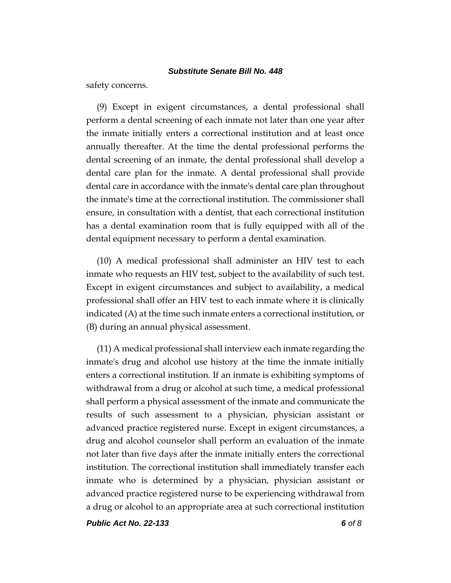safety concerns.

(9) Except in exigent circumstances, a dental professional shall perform a dental screening of each inmate not later than one year after the inmate initially enters a correctional institution and at least once annually thereafter. At the time the dental professional performs the dental screening of an inmate, the dental professional shall develop a dental care plan for the inmate. A dental professional shall provide dental care in accordance with the inmate's dental care plan throughout the inmate's time at the correctional institution. The commissioner shall ensure, in consultation with a dentist, that each correctional institution has a dental examination room that is fully equipped with all of the dental equipment necessary to perform a dental examination.

(10) A medical professional shall administer an HIV test to each inmate who requests an HIV test, subject to the availability of such test. Except in exigent circumstances and subject to availability, a medical professional shall offer an HIV test to each inmate where it is clinically indicated (A) at the time such inmate enters a correctional institution, or (B) during an annual physical assessment.

(11) A medical professional shall interview each inmate regarding the inmate's drug and alcohol use history at the time the inmate initially enters a correctional institution. If an inmate is exhibiting symptoms of withdrawal from a drug or alcohol at such time, a medical professional shall perform a physical assessment of the inmate and communicate the results of such assessment to a physician, physician assistant or advanced practice registered nurse. Except in exigent circumstances, a drug and alcohol counselor shall perform an evaluation of the inmate not later than five days after the inmate initially enters the correctional institution. The correctional institution shall immediately transfer each inmate who is determined by a physician, physician assistant or advanced practice registered nurse to be experiencing withdrawal from a drug or alcohol to an appropriate area at such correctional institution

*Public Act No. 22-133 6 of 8*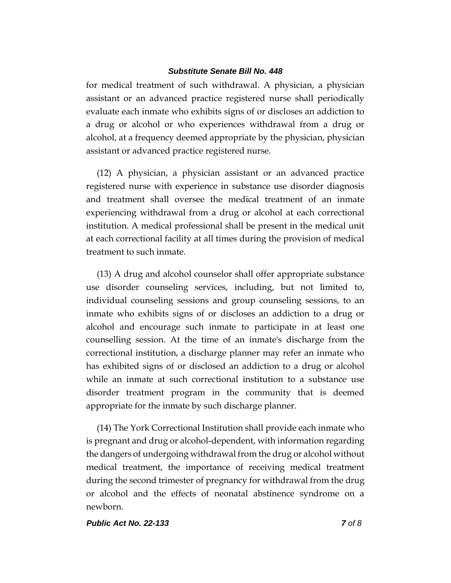for medical treatment of such withdrawal. A physician, a physician assistant or an advanced practice registered nurse shall periodically evaluate each inmate who exhibits signs of or discloses an addiction to a drug or alcohol or who experiences withdrawal from a drug or alcohol, at a frequency deemed appropriate by the physician, physician assistant or advanced practice registered nurse.

(12) A physician, a physician assistant or an advanced practice registered nurse with experience in substance use disorder diagnosis and treatment shall oversee the medical treatment of an inmate experiencing withdrawal from a drug or alcohol at each correctional institution. A medical professional shall be present in the medical unit at each correctional facility at all times during the provision of medical treatment to such inmate.

(13) A drug and alcohol counselor shall offer appropriate substance use disorder counseling services, including, but not limited to, individual counseling sessions and group counseling sessions, to an inmate who exhibits signs of or discloses an addiction to a drug or alcohol and encourage such inmate to participate in at least one counselling session. At the time of an inmate's discharge from the correctional institution, a discharge planner may refer an inmate who has exhibited signs of or disclosed an addiction to a drug or alcohol while an inmate at such correctional institution to a substance use disorder treatment program in the community that is deemed appropriate for the inmate by such discharge planner.

(14) The York Correctional Institution shall provide each inmate who is pregnant and drug or alcohol-dependent, with information regarding the dangers of undergoing withdrawal from the drug or alcohol without medical treatment, the importance of receiving medical treatment during the second trimester of pregnancy for withdrawal from the drug or alcohol and the effects of neonatal abstinence syndrome on a newborn.